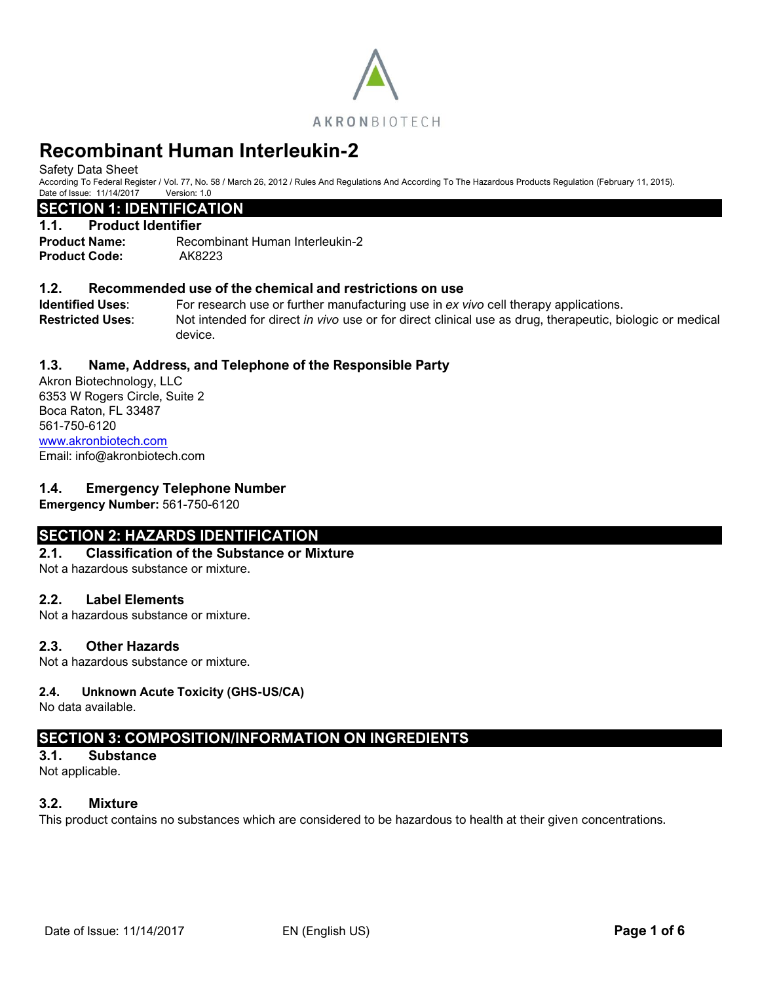

# **Recombinant Human Interleukin-2**

Safety Data Sheet

According To Federal Register / Vol. 77, No. 58 / March 26, 2012 / Rules And Regulations And According To The Hazardous Products Regulation (February 11, 2015). Date of Issue: 11/14/2017 Version: 1.0

## **SECTION 1: IDENTIFICATION**

#### **1.1. Product Identifier**

**Product Name:** Recombinant Human Interleukin-2 **Product Code:** AK8223

## **1.2. Recommended use of the chemical and restrictions on use**

**Identified Uses**: For research use or further manufacturing use in *ex vivo* cell therapy applications. **Restricted Uses**: Not intended for direct *in vivo* use or for direct clinical use as drug, therapeutic, biologic or medical device.

## **1.3. Name, Address, and Telephone of the Responsible Party**

Akron Biotechnology, LLC 6353 W Rogers Circle, Suite 2 Boca Raton, FL 33487 561-750-6120 [www.akronbiotech.com](http://www.akronbiotech.com/%3c/a) Email: info@akronbiotech.com

## **1.4. Emergency Telephone Number**

**Emergency Number:** 561-750-6120

# **SECTION 2: HAZARDS IDENTIFICATION**

## **2.1. Classification of the Substance or Mixture**

Not a hazardous substance or mixture.

## **2.2. Label Elements**

Not a hazardous substance or mixture.

## **2.3. Other Hazards**

Not a hazardous substance or mixture.

## **2.4. Unknown Acute Toxicity (GHS-US/CA)**

No data available.

# **SECTION 3: COMPOSITION/INFORMATION ON INGREDIENTS**

**3.1. Substance** Not applicable.

# **3.2. Mixture**

This product contains no substances which are considered to be hazardous to health at their given concentrations.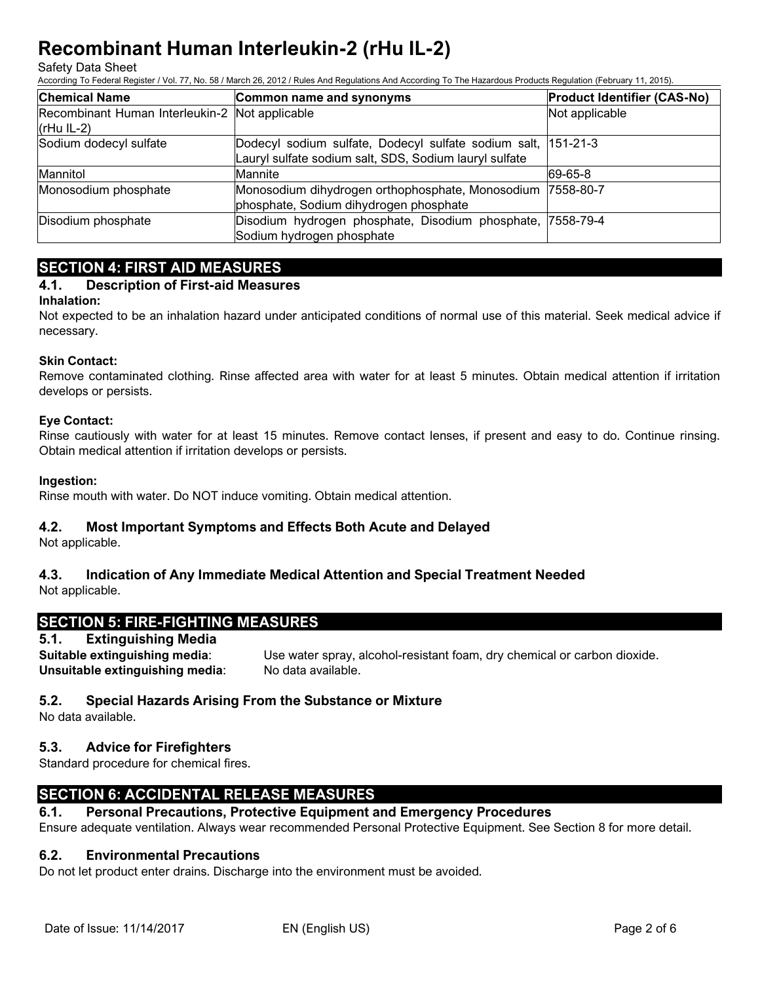#### Safety Data Sheet

According To Federal Register / Vol. 77, No. 58 / March 26, 2012 / Rules And Regulations And According To The Hazardous Products Regulation (February 11, 2015).

| <b>Chemical Name</b>                                                                    | Common name and synonyms                                   | <b>Product Identifier (CAS-No)</b> |
|-----------------------------------------------------------------------------------------|------------------------------------------------------------|------------------------------------|
| Recombinant Human Interleukin-2 Not applicable                                          |                                                            | Not applicable                     |
| $(rHu IL-2)$                                                                            |                                                            |                                    |
| Sodium dodecyl sulfate<br>Dodecyl sodium sulfate, Dodecyl sulfate sodium salt, 151-21-3 |                                                            |                                    |
|                                                                                         | Lauryl sulfate sodium salt, SDS, Sodium lauryl sulfate     |                                    |
| Mannitol                                                                                | Mannite                                                    | 69-65-8                            |
| Monosodium phosphate                                                                    | Monosodium dihydrogen orthophosphate, Monosodium 7558-80-7 |                                    |
|                                                                                         | phosphate, Sodium dihydrogen phosphate                     |                                    |
| Disodium phosphate                                                                      | Disodium hydrogen phosphate, Disodium phosphate, 7558-79-4 |                                    |
|                                                                                         | Sodium hydrogen phosphate                                  |                                    |

# **SECTION 4: FIRST AID MEASURES**

## **4.1. Description of First-aid Measures**

#### **Inhalation:**

Not expected to be an inhalation hazard under anticipated conditions of normal use of this material. Seek medical advice if necessary.

#### **Skin Contact:**

Remove contaminated clothing. Rinse affected area with water for at least 5 minutes. Obtain medical attention if irritation develops or persists.

#### **Eye Contact:**

Rinse cautiously with water for at least 15 minutes. Remove contact lenses, if present and easy to do. Continue rinsing. Obtain medical attention if irritation develops or persists.

#### **Ingestion:**

Rinse mouth with water. Do NOT induce vomiting. Obtain medical attention.

## **4.2. Most Important Symptoms and Effects Both Acute and Delayed**

Not applicable.

# **4.3. Indication of Any Immediate Medical Attention and Special Treatment Needed**

Not applicable.

# **SECTION 5: FIRE-FIGHTING MEASURES**

## **5.1. Extinguishing Media**

**Suitable extinguishing media**: Use water spray, alcohol-resistant foam, dry chemical or carbon dioxide. **Unsuitable extinguishing media**: No data available.

## **5.2. Special Hazards Arising From the Substance or Mixture**

No data available.

## **5.3. Advice for Firefighters**

Standard procedure for chemical fires.

# **SECTION 6: ACCIDENTAL RELEASE MEASURES**

## **6.1. Personal Precautions, Protective Equipment and Emergency Procedures**

Ensure adequate ventilation. Always wear recommended Personal Protective Equipment. See Section 8 for more detail.

## **6.2. Environmental Precautions**

Do not let product enter drains. Discharge into the environment must be avoided.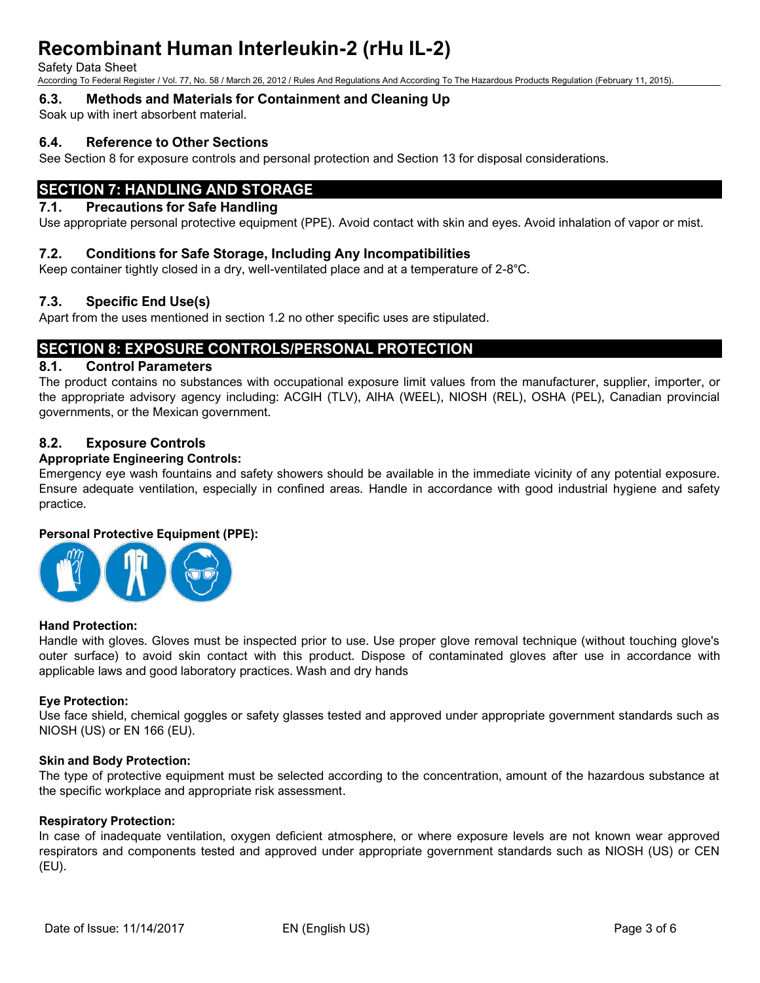Safety Data Sheet

According To Federal Register / Vol. 77, No. 58 / March 26, 2012 / Rules And Regulations And According To The Hazardous Products Regulation (February 11, 2015).

# **6.3. Methods and Materials for Containment and Cleaning Up**

Soak up with inert absorbent material.

# **6.4. Reference to Other Sections**

See Section 8 for exposure controls and personal protection and Section 13 for disposal considerations.

# **SECTION 7: HANDLING AND STORAGE**

# **7.1. Precautions for Safe Handling**

Use appropriate personal protective equipment (PPE). Avoid contact with skin and eyes. Avoid inhalation of vapor or mist.

# **7.2. Conditions for Safe Storage, Including Any Incompatibilities**

Keep container tightly closed in a dry, well-ventilated place and at a temperature of 2-8°C.

# **7.3. Specific End Use(s)**

Apart from the uses mentioned in section 1.2 no other specific uses are stipulated.

# **SECTION 8: EXPOSURE CONTROLS/PERSONAL PROTECTION**

# **8.1. Control Parameters**

The product contains no substances with occupational exposure limit values from the manufacturer, supplier, importer, or the appropriate advisory agency including: ACGIH (TLV), AIHA (WEEL), NIOSH (REL), OSHA (PEL), Canadian provincial governments, or the Mexican government.

# **8.2. Exposure Controls**

# **Appropriate Engineering Controls:**

Emergency eye wash fountains and safety showers should be available in the immediate vicinity of any potential exposure. Ensure adequate ventilation, especially in confined areas. Handle in accordance with good industrial hygiene and safety practice.

## **Personal Protective Equipment (PPE):**



## **Hand Protection:**

Handle with gloves. Gloves must be inspected prior to use. Use proper glove removal technique (without touching glove's outer surface) to avoid skin contact with this product. Dispose of contaminated gloves after use in accordance with applicable laws and good laboratory practices. Wash and dry hands

## **Eye Protection:**

Use face shield, chemical goggles or safety glasses tested and approved under appropriate government standards such as NIOSH (US) or EN 166 (EU).

# **Skin and Body Protection:**

The type of protective equipment must be selected according to the concentration, amount of the hazardous substance at the specific workplace and appropriate risk assessment.

## **Respiratory Protection:**

In case of inadequate ventilation, oxygen deficient atmosphere, or where exposure levels are not known wear approved respirators and components tested and approved under appropriate government standards such as NIOSH (US) or CEN (EU).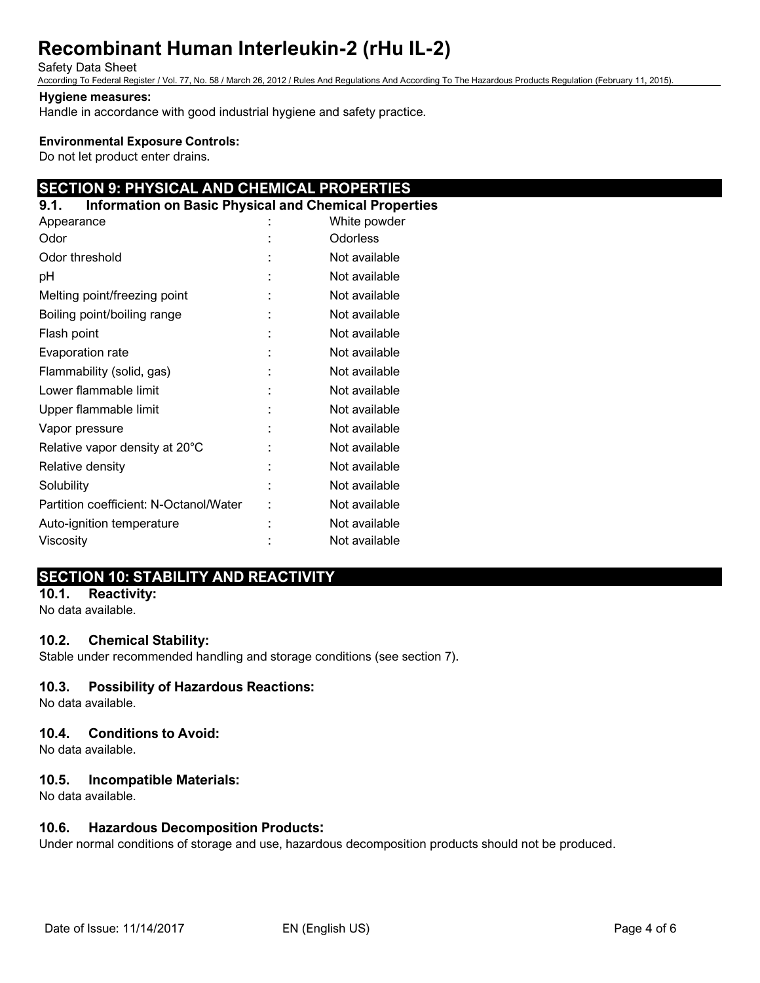#### Safety Data Sheet

According To Federal Register / Vol. 77, No. 58 / March 26, 2012 / Rules And Regulations And According To The Hazardous Products Regulation (February 11, 2015).

#### **Hygiene measures:**

Handle in accordance with good industrial hygiene and safety practice.

#### **Environmental Exposure Controls:**

Do not let product enter drains.

# **SECTION 9: PHYSICAL AND CHEMICAL PROPERTIES**

| <b>Information on Basic Physical and Chemical Properties</b><br>9.1. |               |
|----------------------------------------------------------------------|---------------|
| Appearance                                                           | White powder  |
| Odor                                                                 | Odorless      |
| Odor threshold                                                       | Not available |
| рH                                                                   | Not available |
| Melting point/freezing point                                         | Not available |
| Boiling point/boiling range                                          | Not available |
| Flash point                                                          | Not available |
| Evaporation rate                                                     | Not available |
| Flammability (solid, gas)                                            | Not available |
| Lower flammable limit                                                | Not available |
| Upper flammable limit                                                | Not available |
| Vapor pressure                                                       | Not available |
| Relative vapor density at 20°C                                       | Not available |
| Relative density                                                     | Not available |
| Solubility                                                           | Not available |
| Partition coefficient: N-Octanol/Water                               | Not available |
| Auto-ignition temperature                                            | Not available |
| Viscosity                                                            | Not available |
|                                                                      |               |

# **SECTION 10: STABILITY AND REACTIVITY**

**10.1. Reactivity:** No data available.

## **10.2. Chemical Stability:**

Stable under recommended handling and storage conditions (see section 7).

## **10.3. Possibility of Hazardous Reactions:**

No data available.

## **10.4. Conditions to Avoid:**

No data available.

## **10.5. Incompatible Materials:**

No data available.

## **10.6. Hazardous Decomposition Products:**

Under normal conditions of storage and use, hazardous decomposition products should not be produced.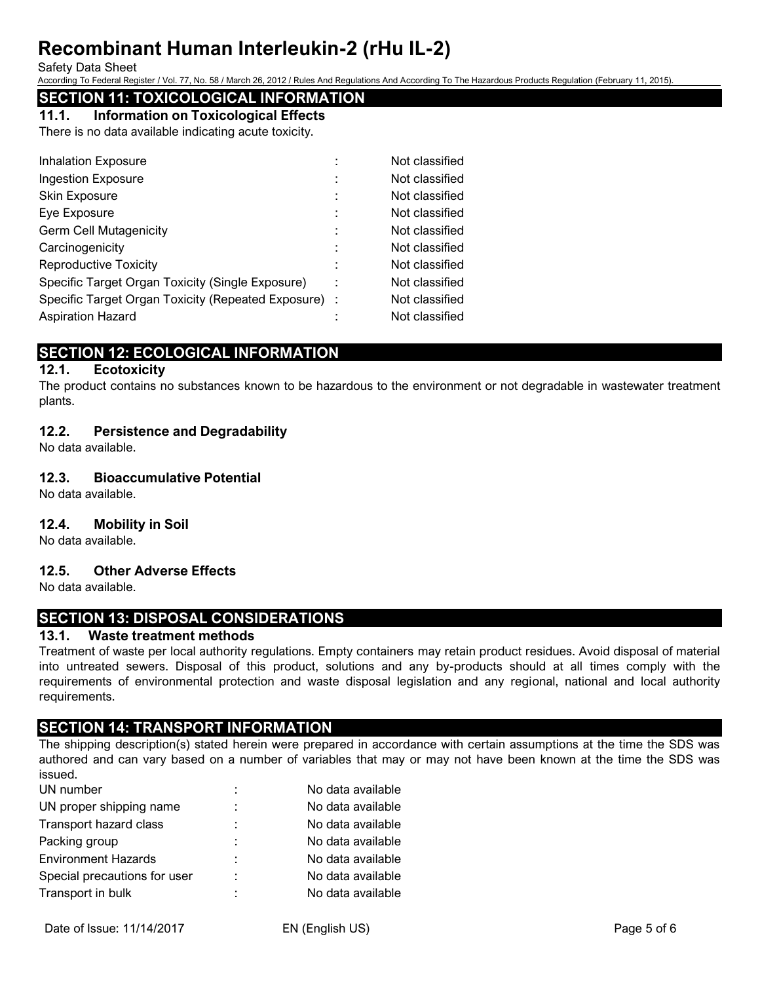#### Safety Data Sheet

According To Federal Register / Vol. 77, No. 58 / March 26, 2012 / Rules And Regulations And According To The Hazardous Products Regulation (February 11, 2015).

# **SECTION 11: TOXICOLOGICAL INFORMATION**

**11.1. Information on Toxicological Effects**

There is no data available indicating acute toxicity.

| <b>Inhalation Exposure</b>                           | Not classified |
|------------------------------------------------------|----------------|
| <b>Ingestion Exposure</b>                            | Not classified |
| Skin Exposure                                        | Not classified |
| Eye Exposure                                         | Not classified |
| <b>Germ Cell Mutagenicity</b>                        | Not classified |
| Carcinogenicity                                      | Not classified |
| <b>Reproductive Toxicity</b>                         | Not classified |
| Specific Target Organ Toxicity (Single Exposure)     | Not classified |
| Specific Target Organ Toxicity (Repeated Exposure) : | Not classified |
| <b>Aspiration Hazard</b>                             | Not classified |

# **SECTION 12: ECOLOGICAL INFORMATION**

## **12.1. Ecotoxicity**

The product contains no substances known to be hazardous to the environment or not degradable in wastewater treatment plants.

## **12.2. Persistence and Degradability**

No data available.

## **12.3. Bioaccumulative Potential**

No data available.

## **12.4. Mobility in Soil**

No data available.

## **12.5. Other Adverse Effects**

No data available.

# **SECTION 13: DISPOSAL CONSIDERATIONS**

## **13.1. Waste treatment methods**

Treatment of waste per local authority regulations. Empty containers may retain product residues. Avoid disposal of material into untreated sewers. Disposal of this product, solutions and any by-products should at all times comply with the requirements of environmental protection and waste disposal legislation and any regional, national and local authority requirements.

# **SECTION 14: TRANSPORT INFORMATION**

The shipping description(s) stated herein were prepared in accordance with certain assumptions at the time the SDS was authored and can vary based on a number of variables that may or may not have been known at the time the SDS was issued.

| UN number                    | ÷ | No data available |
|------------------------------|---|-------------------|
| UN proper shipping name      | ÷ | No data available |
| Transport hazard class       | ÷ | No data available |
| Packing group                | ÷ | No data available |
| <b>Environment Hazards</b>   | ÷ | No data available |
| Special precautions for user | ÷ | No data available |
| Transport in bulk            | ÷ | No data available |
|                              |   |                   |